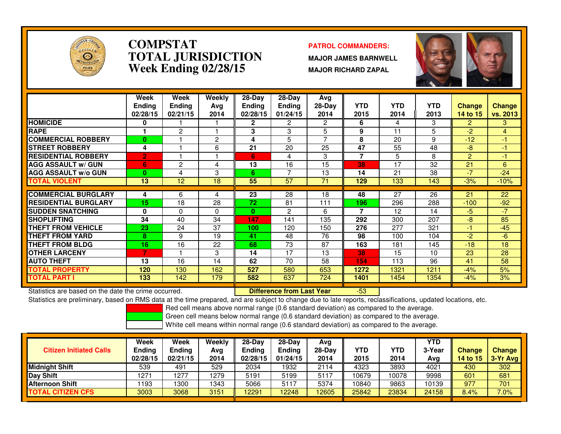

### **COMPSTAT PATROL COMMANDERS: TOTAL JURISDICTIONWeek Ending 02/28/15**

 **MAJOR JAMES BARNWELL MAJOR RICHARD ZAPAL**

-53



|                             | Week<br><b>Ending</b><br>02/28/15 | Week<br>Ending<br>02/21/15 | Weekly<br>Avg<br>2014 | $28-Dav$<br><b>Ending</b><br>02/28/15 | 28-Dav<br><b>Ending</b><br>01/24/15 | Avg<br>$28-Day$<br>2014 | <b>YTD</b><br>2015 | <b>YTD</b><br>2014 | YTD.<br>2013 | <b>Change</b><br>14 to 15 | <b>Change</b><br><b>vs. 2013</b> |
|-----------------------------|-----------------------------------|----------------------------|-----------------------|---------------------------------------|-------------------------------------|-------------------------|--------------------|--------------------|--------------|---------------------------|----------------------------------|
| <b>HOMICIDE</b>             | 0                                 |                            |                       | $\mathbf{2}$                          | 2                                   | 2                       | 6                  | 4                  | 3            | $\mathbf{2}$              | 3                                |
| <b>RAPE</b>                 |                                   | 2                          |                       | 3                                     | 3                                   | 5                       | 9                  | 11                 | 5            | $-2$                      | 4                                |
| <b>COMMERCIAL ROBBERY</b>   | 0                                 |                            | 2                     | 4                                     | 5                                   | $\overline{7}$          | 8                  | 20                 | 9            | $-12$                     | -1                               |
| <b>ISTREET ROBBERY</b>      | 4                                 |                            | 6                     | 21                                    | 20                                  | 25                      | 47                 | 55                 | 48           | -8                        | $-1$                             |
| <b>RESIDENTIAL ROBBERY</b>  | $\overline{2}$                    |                            |                       | 6                                     | 4                                   | 3                       | 7                  | 5                  | 8            | $\overline{2}$            | -1                               |
| <b>AGG ASSAULT w/ GUN</b>   | 6                                 | 2                          | 4                     | 13                                    | 16                                  | 15                      | 38                 | 17                 | 32           | 21                        | 6                                |
| <b>AGG ASSAULT w/o GUN</b>  | 0                                 | 4                          | 3                     | 6                                     | ⇁                                   | 13                      | 14                 | 21                 | 38           | $-7$                      | $-24$                            |
| <b>TOTAL VIOLENT</b>        | 13                                | 12                         | 18                    | 55                                    | 57                                  | 71                      | 129                | 133                | 143          | $-3%$                     | $-10%$                           |
|                             |                                   |                            |                       |                                       |                                     |                         |                    |                    |              |                           |                                  |
| <b>ICOMMERCIAL BURGLARY</b> | 4                                 | 6                          | 4                     | 23                                    | 28                                  | 18                      | 48                 | 27                 | 26           | 21                        | 22                               |
| <b>RESIDENTIAL BURGLARY</b> | 15                                | 18                         | 28                    | 72                                    | 81                                  | 111                     | 196                | 296                | 288          | $-100$                    | $-92$                            |
| <b>SUDDEN SNATCHING</b>     | 0                                 | $\Omega$                   | 0                     | $\mathbf{0}$                          | 2                                   | 6                       | 7                  | 12                 | 14           | $-5$                      | $-7$                             |
| <b>SHOPLIFTING</b>          | 34                                | 40                         | 34                    | 147                                   | 141                                 | 135                     | 292                | 300                | 207          | -8                        | 85                               |
| <b>THEFT FROM VEHICLE</b>   | 23                                | 24                         | 37                    | 100                                   | 120                                 | 150                     | 276                | 277                | 321          | -1                        | $-45$                            |
| <b>THEFT FROM YARD</b>      | 8                                 | 9                          | 19                    | 41                                    | 48                                  | 76                      | 98                 | 100                | 104          | $-2$                      | -6.                              |
| <b>THEFT FROM BLDG</b>      | 16                                | 16                         | 22                    | 68                                    | 73                                  | 87                      | 163                | 181                | 145          | $-18$                     | 18                               |
| <b>OTHER LARCENY</b>        | $\overline{7}$                    |                            | 3                     | 14                                    | 17                                  | 13                      | 38                 | 15                 | 10           | 23                        | 28                               |
| <b>AUTO THEFT</b>           | 13                                | 16                         | 14                    | 62                                    | 70                                  | 58                      | 154                | 113                | 96           | 41                        | 58                               |
| <b>TOTAL PROPERTY</b>       | 120                               | 130                        | 162                   | 527                                   | 580                                 | 653                     | 1272               | 1321               | 1211         | $-4%$                     | 5%                               |
| <b>ITOTAL PART I</b>        | 133                               | 142                        | 179                   | 582                                   | 637                                 | 724                     | 1401               | 1454               | 1354         | $-4%$                     | 3%                               |

Statistics are based on the date the crime occurred. **Difference from Last Year** 

Statistics are preliminary, based on RMS data at the time prepared, and are subject to change due to late reports, reclassifications, updated locations, etc.

Red cell means above normal range (0.6 standard deviation) as compared to the average.

Green cell means below normal range (0.6 standard deviation) as compared to the average.

| <b>Citizen Initiated Calls</b> | Week<br>Ending<br>02/28/15 | Week<br>Ending<br>02/21/15 | Weekly<br>Avg<br>2014 | $28-Dav$<br><b>Ending</b><br>02/28/15 | $28-Day$<br><b>Ending</b><br>01/24/15 | Avg<br>$28-Day$<br>2014 | YTD<br>2015 | YTD<br>2014 | YTD<br>3-Year<br>Avg | <b>Change</b><br><b>14 to 15</b> | Change<br>3-Yr Avg |
|--------------------------------|----------------------------|----------------------------|-----------------------|---------------------------------------|---------------------------------------|-------------------------|-------------|-------------|----------------------|----------------------------------|--------------------|
| <b>Midnight Shift</b>          | 539                        | 491                        | 529                   | 2034                                  | 1932                                  | 2114                    | 4323        | 3893        | 4021                 | 430                              | 302                |
| Day Shift                      | 1271                       | 277                        | 1279                  | 5191                                  | 5199                                  | 5117                    | 10679       | 0078        | 9998                 | 601                              | 681                |
| <b>Afternoon Shift</b>         | 1193                       | 300                        | 1343                  | 5066                                  | 5117                                  | 5374                    | 10840       | 9863        | 10139                | 977                              | 701                |
| <b>TOTAL CITIZEN CFS</b>       | 3003                       | 3068                       | 3151                  | 12291                                 | 12248                                 | 12605                   | 25842       | 23834       | 24158                | 8.4%                             | $7.0\%$            |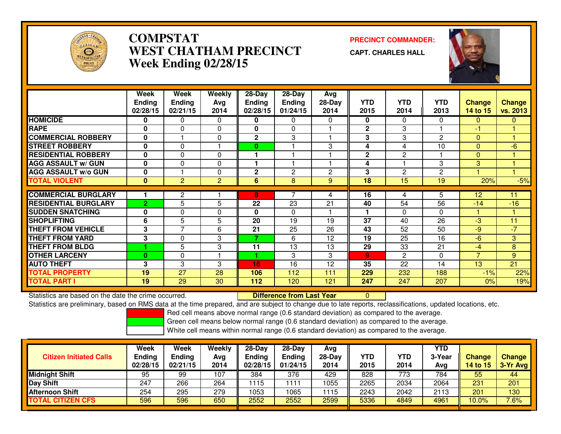

# **COMPSTAT PRECINCT COMMANDER: WEST CHATHAM PRECINCTWeek Ending 02/28/15**

**CAPT. CHARLES HALL**



|                             | Week<br><b>Endina</b> | Week<br><b>Ending</b> | Weekly<br>Avg | $28 - Day$<br><b>Ending</b> | $28 - Day$<br><b>Ending</b> | Avg<br>$28-Day$ | <b>YTD</b>     | <b>YTD</b> | <b>YTD</b>   | <b>Change</b>  | <b>Change</b> |
|-----------------------------|-----------------------|-----------------------|---------------|-----------------------------|-----------------------------|-----------------|----------------|------------|--------------|----------------|---------------|
|                             | 02/28/15              | 02/21/15              | 2014          | 02/28/15                    | 01/24/15                    | 2014            | 2015           | 2014       | 2013         | 14 to 15       | vs. 2013      |
| <b>HOMICIDE</b>             | 0                     | 0                     | 0             | 0                           | 0                           | 0               | 0              | 0          | $\Omega$     | 0              | $\mathbf{0}$  |
| <b>RAPE</b>                 | $\bf{0}$              | $\Omega$              | $\Omega$      | 0                           | $\Omega$                    |                 | $\mathbf{2}$   | 3          |              | -1             |               |
| <b>COMMERCIAL ROBBERY</b>   | $\bf{0}$              |                       | $\Omega$      | $\mathbf{2}$                | 3                           |                 | 3              | 3          | $\mathbf{2}$ | $\Omega$       |               |
| <b>STREET ROBBERY</b>       | 0                     | $\Omega$              |               | $\mathbf{0}$                |                             | 3               | 4              | 4          | 10           | $\Omega$       | -6            |
| <b>RESIDENTIAL ROBBERY</b>  | $\bf{0}$              | $\Omega$              | $\Omega$      |                             |                             |                 | $\mathbf{2}$   | 2          |              | $\Omega$       |               |
| <b>AGG ASSAULT w/ GUN</b>   | $\bf{0}$              | 0                     | 0             |                             |                             |                 | 4              |            | 3            | 3              |               |
| <b>AGG ASSAULT w/o GUN</b>  | $\bf{0}$              |                       | $\Omega$      | $\mathbf{2}$                | 2                           | 2               | 3              | 2          | $\mathbf{2}$ |                |               |
| <b>TOTAL VIOLENT</b>        | $\bf{0}$              | 2                     | 2             | 6                           | 8                           | 9               | 18             | 15         | 19           | 20%            | $-5%$         |
|                             |                       |                       |               |                             |                             |                 |                |            |              |                |               |
| <b>COMMERCIAL BURGLARY</b>  |                       | $\overline{2}$        |               | 8                           |                             | 4               | 16             | 4          | 5            | 12             | 11            |
| <b>RESIDENTIAL BURGLARY</b> | $\overline{2}$        | 5                     | 5             | 22                          | 23                          | 21              | 40             | 54         | 56           | $-14$          | $-16$         |
| <b>SUDDEN SNATCHING</b>     | 0                     | $\Omega$              | $\Omega$      | 0                           | $\Omega$                    |                 |                | 0          | $\Omega$     |                |               |
| <b>SHOPLIFTING</b>          | 6                     | 5                     | 5             | 20                          | 19                          | 19              | 37             | 40         | 26           | $-3$           | 11            |
| <b>THEFT FROM VEHICLE</b>   | 3                     | 7                     | 6             | 21                          | 25                          | 26              | 43             | 52         | 50           | -9             | -7            |
| <b>THEFT FROM YARD</b>      | 3                     | $\Omega$              | 3             | 7                           | 6                           | 12              | 19             | 25         | 16           | $-6$           | 3             |
| <b>THEFT FROM BLDG</b>      |                       | 5                     | 3             | 11                          | 13                          | 13              | 29             | 33         | 21           | -4             | 8             |
| <b>OTHER LARCENY</b>        | $\mathbf{0}$          | 0                     |               |                             | 3                           | 3               | $\overline{9}$ | 2          | $\Omega$     | $\overline{7}$ | 9             |
| <b>AUTO THEFT</b>           | 3                     | 3                     | 3             | 16                          | 16                          | 12              | 35             | 22         | 14           | 13             | 21            |
| <b>TOTAL PROPERTY</b>       | 19                    | 27                    | 28            | 106                         | 112                         | 111             | 229            | 232        | 188          | $-1%$          | 22%           |
| <b>TOTAL PART I</b>         | 19                    | 29                    | 30            | 112                         | 120                         | 121             | 247            | 247        | 207          | 0%             | 19%           |

Statistics are based on the date the crime occurred. **Difference from Last Year** Statistics are based on the date the crime occurred.<br>Statistics are preliminary, based on RMS data at the time prepared, and are subject to change due to late reports, reclassifications, updated locations, etc.

Red cell means above normal range (0.6 standard deviation) as compared to the average.

Green cell means below normal range (0.6 standard deviation) as compared to the average.

| <b>Citizen Initiated Calls</b> | Week<br><b>Ending</b><br>02/28/15 | Week<br><b>Ending</b><br>02/21/15 | Weekly<br>Avg<br>2014 | $28-Day$<br>Ending<br>02/28/15 | $28-Day$<br><b>Ending</b><br>01/24/15 | Avg<br>28-Day<br>2014 | <b>YTD</b><br>2015 | <b>YTD</b><br>2014 | YTD<br>3-Year<br>Avg | <b>Change</b><br><b>14 to 15</b> | <b>Change</b><br>3-Yr Avg |
|--------------------------------|-----------------------------------|-----------------------------------|-----------------------|--------------------------------|---------------------------------------|-----------------------|--------------------|--------------------|----------------------|----------------------------------|---------------------------|
| <b>Midnight Shift</b>          | 95                                | 99                                | 107                   | 384                            | 376                                   | 429                   | 828                | 773                | 784                  | 55                               | 44                        |
| Day Shift                      | 247                               | 266                               | 264                   | 1115                           | 111                                   | 1055                  | 2265               | 2034               | 2064                 | 231                              | 201                       |
| <b>Afternoon Shift</b>         | 254                               | 295                               | 279                   | 1053                           | 1065                                  | 1115                  | 2243               | 2042               | 2113                 | 201                              | 130                       |
| <b>TOTAL CITIZEN CFS</b>       | 596                               | 596                               | 650                   | 2552                           | 2552                                  | 2599                  | 5336               | 4849               | 4961                 | $10.0\%$                         | 7.6%                      |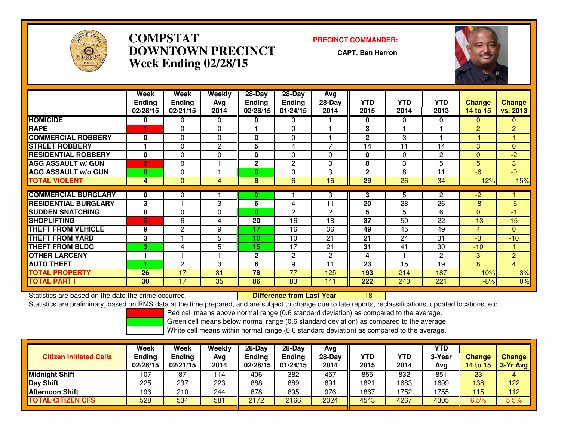

# **COMPSTAT PRECINCT COMMANDER: DOWNTOWN PRECINCTWeek Ending 02/28/15**

**CAPT. Ben Herron**



|                             | Week           | Week          | Weekly         | $28 - Day$     | $28 - Day$     | Avg            |                 |            |                |                |                |
|-----------------------------|----------------|---------------|----------------|----------------|----------------|----------------|-----------------|------------|----------------|----------------|----------------|
|                             | <b>Ending</b>  | <b>Ending</b> | Ava            | <b>Ending</b>  | <b>Ending</b>  | $28-Day$       | <b>YTD</b>      | <b>YTD</b> | <b>YTD</b>     | <b>Change</b>  | <b>Change</b>  |
|                             | 02/28/15       | 02/21/15      | 2014           | 02/28/15       | 01/24/15       | 2014           | 2015            | 2014       | 2013           | 14 to 15       | vs. 2013       |
| <b>HOMICIDE</b>             | 0              | $\Omega$      | $\Omega$       | 0              | 0              |                | 0               | $\Omega$   | $\Omega$       | $\Omega$       | $\overline{0}$ |
| <b>RAPE</b>                 |                | $\mathbf{0}$  | $\Omega$       |                | $\Omega$       |                | 3               |            |                | $\overline{2}$ | $\overline{2}$ |
| <b>COMMERCIAL ROBBERY</b>   | $\Omega$       | $\mathbf{0}$  | $\Omega$       | 0              | $\mathbf{0}$   |                | $\mathbf{2}$    | 3          |                | -1             |                |
| <b>STREET ROBBERY</b>       |                | $\Omega$      | $\mathbf{2}$   | 5              | 4              | $\overline{ }$ | 14              | 11         | 14             | 3              | $\overline{0}$ |
| <b>RESIDENTIAL ROBBERY</b>  | $\bf{0}$       | $\Omega$      | $\Omega$       | 0              | $\Omega$       | 0              | $\mathbf{0}$    | $\Omega$   | $\overline{c}$ | $\Omega$       | $-2$           |
| <b>AGG ASSAULT w/ GUN</b>   | $\overline{2}$ | $\Omega$      |                | $\overline{2}$ | $\overline{2}$ | 3              | 8               | 3          | 5              | 5              | 3              |
| <b>AGG ASSAULT w/o GUN</b>  | $\mathbf{0}$   | $\mathbf{0}$  |                | $\mathbf{0}$   | $\Omega$       | 3              | $\mathbf{2}$    | 8          | 11             | $-6$           | $-9$           |
| <b>TOTAL VIOLENT</b>        | 4              | $\Omega$      | $\overline{4}$ | 8              | 6              | 16             | 29              | 26         | 34             | 12%            | $-15%$         |
|                             |                |               |                |                |                |                |                 |            |                |                |                |
| <b>COMMERCIAL BURGLARY</b>  | 0              | 0             |                | 0              |                | 3              | 3               | 5          | $\mathbf{2}$   | $-2$           |                |
| <b>RESIDENTIAL BURGLARY</b> | 3              |               | 3              | 6              | 4              | 11             | 20              | 28         | 26             | $-8$           | $-6$           |
| <b>SUDDEN SNATCHING</b>     | $\bf{0}$       | $\Omega$      | 0              | $\mathbf{0}$   | $\mathbf{2}$   | 2              | 5               | 5          | 6              | $\Omega$       | $-1$           |
| <b>ISHOPLIFTING</b>         | 6              | 6             | 4              | 20             | 16             | 18             | $\overline{37}$ | 50         | 22             | $-13$          | 15             |
| <b>THEFT FROM VEHICLE</b>   | 9              | 2             | 9              | 17             | 16             | 36             | 49              | 45         | 49             | 4              | $\overline{0}$ |
| <b>THEFT FROM YARD</b>      | 3              |               | 5              | 10             | 10             | 21             | 21              | 24         | 31             | $-3$           | $-10$          |
| <b>THEFT FROM BLDG</b>      | 3              | 4             | 5              | 15             | 17             | 21             | 31              | 41         | 30             | $-10$          |                |
| <b>OTHER LARCENY</b>        | 1              |               |                | $\mathbf{2}$   | $\mathbf{2}$   | 2              | 4               |            | $\overline{2}$ | 3              | $\overline{2}$ |
| <b>AUTO THEFT</b>           |                | 2             | 3              | 8              | 9              | 11             | 23              | 15         | 19             | 8              | $\overline{4}$ |
| <b>TOTAL PROPERTY</b>       | 26             | 17            | 31             | 78             | 77             | 125            | 193             | 214        | 187            | $-10%$         | 3%             |
| <b>TOTAL PART I</b>         | 30             | 17            | 35             | 86             | 83             | 141            | 222             | 240        | 221            | $-8%$          | $0\%$          |

Statistics are based on the date the crime occurred. **Difference from Last Year**  -18Statistics are preliminary, based on RMS data at the time prepared, and are subject to change due to late reports, reclassifications, updated locations, etc.

Red cell means above normal range (0.6 standard deviation) as compared to the average.

Green cell means below normal range (0.6 standard deviation) as compared to the average.

| <b>Citizen Initiated Calls</b> | Week<br><b>Ending</b><br>02/28/15 | Week<br><b>Ending</b><br>02/21/15 | Weekly<br>Avg<br>2014 | $28-Dav$<br>Ending<br>02/28/15 | $28-Day$<br><b>Ending</b><br>01/24/15 | Avg<br>28-Dav<br>2014 | YTD<br>2015 | <b>YTD</b><br>2014 | YTD<br>3-Year<br>Avg | Change<br>14 to 15 | Change<br>3-Yr Avg |
|--------------------------------|-----------------------------------|-----------------------------------|-----------------------|--------------------------------|---------------------------------------|-----------------------|-------------|--------------------|----------------------|--------------------|--------------------|
| <b>Midnight Shift</b>          | 107                               | 87                                | 114                   | 406                            | 382                                   | 457                   | 855         | 832                | 851                  | 23                 |                    |
| <b>Day Shift</b>               | 225                               | 237                               | 223                   | 888                            | 889                                   | 891                   | 1821        | 1683               | 1699                 | 138                | 122                |
| <b>Afternoon Shift</b>         | 196                               | 210                               | 244                   | 878                            | 895                                   | 976                   | 1867        | 1752               | 1755                 | 115                | 112                |
| <b>TOTAL CITIZEN CFS</b>       | 528                               | 534                               | 581                   | 2172                           | 2166                                  | 2324                  | 4543        | 4267               | 4305                 | 6.5%               | 5.5%               |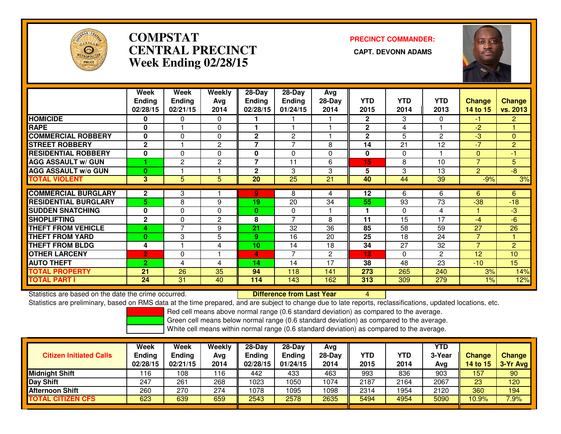

# **COMPSTATCENTRAL PRECINCT Week Ending 02/28/15**

**PRECINCT COMMANDER:**



|                             | Week           | Week                | <b>Weekly</b>  | 28-Day                   | 28-Day         | Avg          |              |            |            |                |                 |
|-----------------------------|----------------|---------------------|----------------|--------------------------|----------------|--------------|--------------|------------|------------|----------------|-----------------|
|                             | <b>Ending</b>  | <b>Ending</b>       | Avg            | <b>Ending</b>            | Ending         | $28-Day$     | <b>YTD</b>   | <b>YTD</b> | <b>YTD</b> | <b>Change</b>  | <b>Change</b>   |
|                             | 02/28/15       | 02/21/15            | 2014           | 02/28/15                 | 01/24/15       | 2014         | 2015         | 2014       | 2013       | 14 to 15       | vs. 2013        |
| <b>HOMICIDE</b>             | 0              | 0                   | $\Omega$       |                          |                |              | $\mathbf{2}$ | 3          | $\Omega$   | $-1$           | $\overline{2}$  |
| <b>RAPE</b>                 | 0              |                     | $\Omega$       |                          |                |              | $\mathbf{2}$ | 4          |            | $-2$           |                 |
| <b>COMMERCIAL ROBBERY</b>   | $\mathbf 0$    | 0                   | $\Omega$       | $\mathbf{2}$             | $\overline{2}$ |              | $\mathbf{2}$ | 5          | 2          | $-3$           | $\mathbf{0}$    |
| <b>STREET ROBBERY</b>       | $\mathbf{2}$   |                     | $\overline{c}$ | $\overline{\phantom{a}}$ | 7              | 8            | 14           | 21         | 12         | $-7$           | $\overline{2}$  |
| <b>RESIDENTIAL ROBBERY</b>  | $\mathbf 0$    | $\Omega$            | $\Omega$       | 0                        | $\mathbf{0}$   | $\Omega$     | $\mathbf{0}$ | $\Omega$   |            | $\Omega$       | -1              |
| <b>AGG ASSAULT w/ GUN</b>   |                | $\overline{2}$      | $\overline{2}$ | 7                        | 11             | 6            | 15           | 8          | 10         | $\overline{7}$ | 5               |
| <b>AGG ASSAULT w/o GUN</b>  | $\bf{0}$       |                     |                | $\mathbf{2}$             | 3              | 3            | 5            | 3          | 13         | $\overline{2}$ | $\overline{-8}$ |
| <b>TOTAL VIOLENT</b>        | $\overline{3}$ | 5                   | 5              | 20                       | 25             | 21           | 40           | 44         | 39         | $-9%$          | 3%              |
| <b>COMMERCIAL BURGLARY</b>  | $\mathbf{2}$   | 3                   |                | 9                        | 8              | 4            | 12           | 6          | 6          | 6              | 6               |
| <b>RESIDENTIAL BURGLARY</b> | 5.             | 8                   | 9              | 19                       | 20             | 34           | 55           | 93         | 73         | $-38$          | $-18$           |
| <b>SUDDEN SNATCHING</b>     | $\mathbf 0$    | $\Omega$            | $\Omega$       | 0                        | 0              |              |              | $\Omega$   | 4          |                | $-3$            |
|                             | $\mathbf{2}$   |                     |                |                          | $\overline{7}$ | 8            |              |            | 17         |                |                 |
| <b>SHOPLIFTING</b>          |                | 0<br>$\overline{7}$ | $\overline{2}$ | 8                        |                |              | 11           | 15         |            | $-4$           | $-6$            |
| <b>THEFT FROM VEHICLE</b>   | 4              |                     | 9              | 21                       | 32             | 36           | 85           | 58         | 59         | 27             | 26              |
| <b>THEFT FROM YARD</b>      | $\bf{0}$       | 3                   | 5              | 9.                       | 16             | 20           | 25           | 18         | 24         | 7              |                 |
| <b>THEFT FROM BLDG</b>      | 4              |                     | 4              | 10                       | 14             | 18           | 34           | 27         | 32         | $\overline{7}$ | $\overline{2}$  |
| <b>OTHER LARCENY</b>        | $\overline{2}$ | 0                   |                | 4                        | 7              | $\mathbf{2}$ | 12           | $\Omega$   | 2          | 12             | 10              |
| <b>AUTO THEFT</b>           | $\overline{2}$ | 4                   | 4              | 14                       | 14             | 17           | 38           | 48         | 23         | $-10$          | 15              |
| <b>TOTAL PROPERTY</b>       | 21             | 26                  | 35             | 94                       | 118            | 141          | 273          | 265        | 240        | 3%             | 14%             |
| <b>TOTAL PART I</b>         | 24             | 31                  | 40             | 114                      | 143            | 162          | 313          | 309        | 279        | $1\%$          | 12%             |

Statistics are based on the date the crime occurred. **Difference from Last Year** 

Statistics are based on the date the crime occurred.<br>Statistics are preliminary, based on RMS data at the time prepared, and are subject to change due to late reports, reclassifications, updated locations, etc.

Red cell means above normal range (0.6 standard deviation) as compared to the average.

Green cell means below normal range (0.6 standard deviation) as compared to the average.

| <b>Citizen Initiated Calls</b> | Week<br><b>Ending</b><br>02/28/15 | Week<br><b>Ending</b><br>02/21/15 | Weekly<br>Avg<br>2014 | 28-Day<br><b>Ending</b><br>02/28/15 | $28-Dav$<br><b>Ending</b><br>01/24/15 | Ava<br>$28-Day$<br>2014 | <b>YTD</b><br>2015 | YTD<br>2014 | YTD<br>3-Year<br>Avg | <b>Change</b><br>14 to $15$ | <b>Change</b><br>3-Yr Avg |
|--------------------------------|-----------------------------------|-----------------------------------|-----------------------|-------------------------------------|---------------------------------------|-------------------------|--------------------|-------------|----------------------|-----------------------------|---------------------------|
| <b>Midnight Shift</b>          | 116                               | 108                               | 116                   | 442                                 | 433                                   | 463                     | 993                | 836         | 903                  | 157                         | 90                        |
| Day Shift                      | 247                               | 261                               | 268                   | 1023                                | 050                                   | 1074                    | 2187               | 2164        | 2067                 | 23                          | 120                       |
| Afternoon Shift                | 260                               | 270                               | 274                   | 1078                                | 095                                   | 1098                    | 2314               | 1954        | 2120                 | 360                         | 194                       |
| <b>TOTAL CITIZEN CFS</b>       | 623                               | 639                               | 659                   | 2543                                | 2578                                  | 2635                    | 5494               | 4954        | 5090                 | 10.9%                       | 7.9%                      |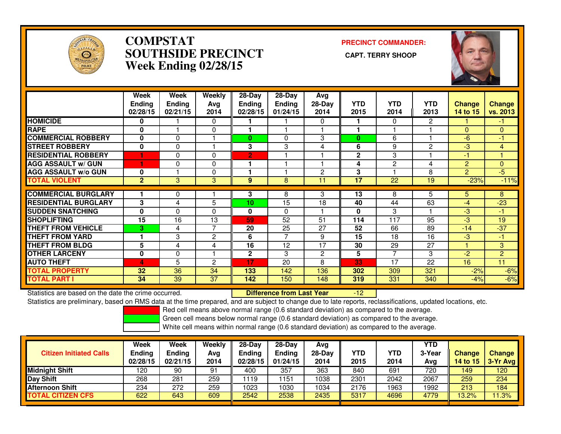

### **COMPSTAT PRECINCT COMMANDER: SOUTHSIDE PRECINCT CAPT. TERRY SHOOPWeek Ending 02/28/15**



|                             | Week<br>Ending<br>02/28/15 | Week<br><b>Ending</b><br>02/21/15 | Weekly<br>Avg<br>2014 | $28-Day$<br><b>Ending</b><br>02/28/15 | $28-Day$<br><b>Ending</b><br>01/24/15 | Avg<br>$28-Day$<br>2014 | <b>YTD</b><br>2015 | <b>YTD</b><br>2014       | <b>YTD</b><br>2013 | <b>Change</b><br><b>14 to 15</b> | <b>Change</b><br>vs. 2013 |
|-----------------------------|----------------------------|-----------------------------------|-----------------------|---------------------------------------|---------------------------------------|-------------------------|--------------------|--------------------------|--------------------|----------------------------------|---------------------------|
| <b>HOMICIDE</b>             | $\mathbf{0}$               |                                   | $\Omega$              |                                       |                                       | 0                       |                    | 0                        | 2                  |                                  | $-1$                      |
| <b>RAPE</b>                 | $\bf{0}$                   |                                   | 0                     |                                       |                                       |                         |                    |                          |                    | $\Omega$                         | $\Omega$                  |
| <b>COMMERCIAL ROBBERY</b>   | $\bf{0}$                   | $\mathbf{0}$                      |                       | 0                                     | 0                                     | 3                       | $\bf{0}$           | 6                        |                    | $-6$                             | $-1$                      |
| <b>STREET ROBBERY</b>       | $\mathbf{0}$               | 0                                 |                       | 3                                     | 3                                     | 4                       | 6                  | 9                        | $\overline{2}$     | $-3$                             | $\overline{4}$            |
| <b>RESIDENTIAL ROBBERY</b>  |                            | 0                                 | $\Omega$              | $\overline{2}$                        |                                       |                         | $\mathbf{2}$       | 3                        |                    | -1                               |                           |
| <b>AGG ASSAULT w/ GUN</b>   |                            | 0                                 | 0                     |                                       |                                       |                         | 4                  | 2                        | 4                  | $\overline{2}$                   | $\mathbf{0}$              |
| <b>AGG ASSAULT w/o GUN</b>  | $\bf{0}$                   |                                   | 0                     |                                       |                                       | $\overline{c}$          | 3                  |                          | 8                  | $\overline{2}$                   | $-5$                      |
| <b>TOTAL VIOLENT</b>        | $\mathbf{2}$               | 3                                 | 3                     | 9                                     | 8                                     | 11                      | 17                 | 22                       | 19                 | $-23%$                           | $-11%$                    |
| <b>COMMERCIAL BURGLARY</b>  |                            |                                   |                       | 3                                     | 8                                     | 3                       | 13                 | 8                        | 5                  | 5.                               | 8                         |
|                             |                            | 0                                 |                       |                                       |                                       |                         |                    |                          |                    |                                  |                           |
| <b>RESIDENTIAL BURGLARY</b> | 3                          | 4                                 | 5                     | 10                                    | $\overline{15}$                       | 18                      | 40                 | 44                       | 63                 | $-4$                             | $-23$                     |
| <b>SUDDEN SNATCHING</b>     | $\mathbf{0}$               | $\Omega$                          | $\Omega$              | 0                                     | $\Omega$                              |                         | 0                  | 3                        |                    | $-3$                             | $-1$                      |
| <b>SHOPLIFTING</b>          | 15                         | 16                                | 13                    | 59                                    | 52                                    | 51                      | 114                | 117                      | 95                 | $-3$                             | 19                        |
| <b>THEFT FROM VEHICLE</b>   | 3                          | 4                                 | 7                     | 20                                    | 25                                    | 27                      | 52                 | 66                       | 89                 | $-14$                            | $-37$                     |
| <b>THEFT FROM YARD</b>      |                            | 3                                 | $\overline{2}$        | 6                                     | 7                                     | 9                       | 15                 | 18                       | 16                 | $-3$                             | $-1$                      |
| <b>THEFT FROM BLDG</b>      | 5                          | 4                                 | 4                     | 16                                    | 12                                    | 17                      | 30                 | 29                       | 27                 |                                  | 3                         |
| <b>OTHER LARCENY</b>        | $\mathbf 0$                | 0                                 |                       | 2                                     | 3                                     | 2                       | 5                  | $\overline{\phantom{a}}$ | 3                  | $-2$                             | $\overline{2}$            |
| <b>AUTO THEFT</b>           | 4                          | 5                                 | $\overline{c}$        | 17                                    | 20                                    | 8                       | 33                 | 17                       | 22                 | 16                               | 11                        |
| <b>TOTAL PROPERTY</b>       | 32                         | 36                                | 34                    | 133                                   | 142                                   | 136                     | 302                | 309                      | 321                | $-2%$                            | $-6%$                     |
| <b>TOTAL PART I</b>         | 34                         | 39                                | 37                    | 142                                   | 150                                   | 148                     | 319                | 331                      | 340                | $-4%$                            | $-6%$                     |

Statistics are based on the date the crime occurred. **Difference from Last Year** 

-12

Statistics are preliminary, based on RMS data at the time prepared, and are subject to change due to late reports, reclassifications, updated locations, etc.

Red cell means above normal range (0.6 standard deviation) as compared to the average.

Green cell means below normal range (0.6 standard deviation) as compared to the average.

| <b>Citizen Initiated Calls</b> | <b>Week</b><br><b>Ending</b><br>02/28/15 | Week<br>Ending<br>02/21/15 | Weekly<br>Avg<br>2014 | 28-Dav<br><b>Ending</b><br>02/28/15 | $28-Dav$<br><b>Ending</b><br>01/24/15 | Ava<br>28-Dav<br>2014 | YTD<br>2015 | YTD<br>2014 | <b>YTD</b><br>3-Year<br>Avg | <b>Change</b><br><b>14 to 15</b> | <b>Change</b><br>3-Yr Avg |
|--------------------------------|------------------------------------------|----------------------------|-----------------------|-------------------------------------|---------------------------------------|-----------------------|-------------|-------------|-----------------------------|----------------------------------|---------------------------|
| <b>Midnight Shift</b>          | 120                                      | 90                         | 91                    | 400                                 | 357                                   | 363                   | 840         | 691         | 720                         | 149                              | 120                       |
| Day Shift                      | 268                                      | 281                        | 259                   | 1119                                | ! 151                                 | 1038                  | 2301        | 2042        | 2067                        | 259                              | 234                       |
| <b>Afternoon Shift</b>         | 234                                      | 272                        | 259                   | 1023                                | 1030                                  | 1034                  | 2176        | 1963        | 1992                        | 213                              | 184                       |
| <b>TOTAL CITIZEN CFS</b>       | 622                                      | 643                        | 609                   | 2542                                | 2538                                  | 2435                  | 5317        | 4696        | 4779                        | 13.2%                            | 11.3%                     |